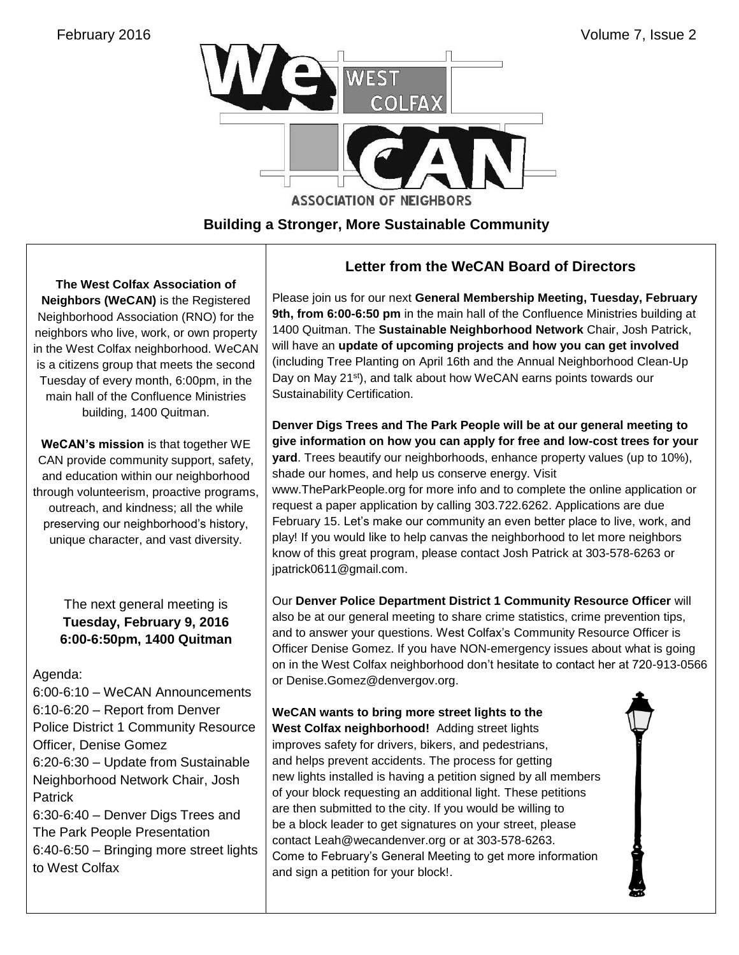

## **Building a Stronger, More Sustainable Community**

**The West Colfax Association of Neighbors (WeCAN)** is the Registered Neighborhood Association (RNO) for the neighbors who live, work, or own property in the West Colfax neighborhood. WeCAN is a citizens group that meets the second Tuesday of every month, 6:00pm, in the main hall of the Confluence Ministries building, 1400 Quitman.

**WeCAN's mission** is that together WE CAN provide community support, safety, and education within our neighborhood through volunteerism, proactive programs, outreach, and kindness; all the while preserving our neighborhood's history, unique character, and vast diversity.

> The next general meeting is **Tuesday, February 9, 2016 6:00-6:50pm, 1400 Quitman**

## Agenda:

6:00-6:10 – WeCAN Announcements 6:10-6:20 – Report from Denver Police District 1 Community Resource Officer, Denise Gomez 6:20-6:30 – Update from Sustainable Neighborhood Network Chair, Josh **Patrick** 6:30-6:40 – Denver Digs Trees and The Park People Presentation

6:40-6:50 – Bringing more street lights to West Colfax

## **Letter from the WeCAN Board of Directors**

Please join us for our next **General Membership Meeting, Tuesday, February 9th, from 6:00-6:50 pm** in the main hall of the Confluence Ministries building at 1400 Quitman. The **Sustainable Neighborhood Network** Chair, Josh Patrick, will have an **update of upcoming projects and how you can get involved** (including Tree Planting on April 16th and the Annual Neighborhood Clean-Up Day on May 21<sup>st</sup>), and talk about how WeCAN earns points towards our Sustainability Certification.

**Denver Digs Trees and The Park People will be at our general meeting to give information on how you can apply for free and low-cost trees for your yard**. Trees beautify our neighborhoods, enhance property values (up to 10%), shade our homes, and help us conserve energy. Visit

[www.TheParkPeople.org](http://www.theparkpeople.org/) for more info and to complete the online application or request a paper application by calling [303.722.6262.](tel:303.722.6262) Applications are due February 15. Let's make our community an even better place to live, work, and play! If you would like to help canvas the neighborhood to let more neighbors know of this great program, please contact Josh Patrick at 303-578-6263 or [jpatrick0611@gmail.com.](mailto:jpatrick0611@gmail.com)

Our **Denver Police Department District 1 Community Resource Officer** will also be at our general meeting to share crime statistics, crime prevention tips, and to answer your questions. West Colfax's Community Resource Officer is Officer Denise Gomez. If you have NON-emergency issues about what is going on in the West Colfax neighborhood don't hesitate to contact her at 720-913-0566 or [Denise.Gomez@denvergov.org.](mailto:Denise.Gomez@denvergov.org)

**WeCAN wants to bring more street lights to the West Colfax neighborhood!** Adding street lights improves safety for drivers, bikers, and pedestrians, and helps prevent accidents. The process for getting new lights installed is having a petition signed by all members of your block requesting an additional light. These petitions are then submitted to the city. If you would be willing to be a block leader to get signatures on your street, please contact [Leah@wecandenver.org](mailto:Leah@wecandenver.org) or at 303-578-6263. Come to February's General Meeting to get more information and sign a petition for your block!.